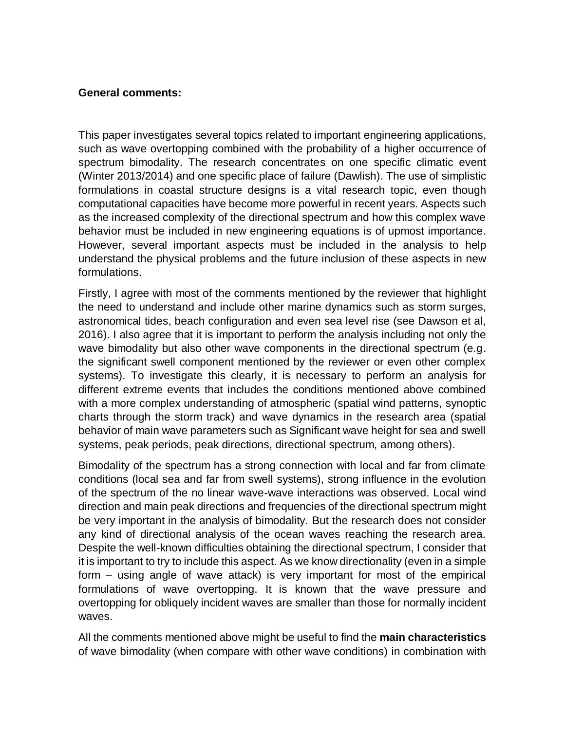## **General comments:**

This paper investigates several topics related to important engineering applications, such as wave overtopping combined with the probability of a higher occurrence of spectrum bimodality. The research concentrates on one specific climatic event (Winter 2013/2014) and one specific place of failure (Dawlish). The use of simplistic formulations in coastal structure designs is a vital research topic, even though computational capacities have become more powerful in recent years. Aspects such as the increased complexity of the directional spectrum and how this complex wave behavior must be included in new engineering equations is of upmost importance. However, several important aspects must be included in the analysis to help understand the physical problems and the future inclusion of these aspects in new formulations.

Firstly, I agree with most of the comments mentioned by the reviewer that highlight the need to understand and include other marine dynamics such as storm surges, astronomical tides, beach configuration and even sea level rise (see Dawson et al, 2016). I also agree that it is important to perform the analysis including not only the wave bimodality but also other wave components in the directional spectrum (e.g. the significant swell component mentioned by the reviewer or even other complex systems). To investigate this clearly, it is necessary to perform an analysis for different extreme events that includes the conditions mentioned above combined with a more complex understanding of atmospheric (spatial wind patterns, synoptic charts through the storm track) and wave dynamics in the research area (spatial behavior of main wave parameters such as Significant wave height for sea and swell systems, peak periods, peak directions, directional spectrum, among others).

Bimodality of the spectrum has a strong connection with local and far from climate conditions (local sea and far from swell systems), strong influence in the evolution of the spectrum of the no linear wave-wave interactions was observed. Local wind direction and main peak directions and frequencies of the directional spectrum might be very important in the analysis of bimodality. But the research does not consider any kind of directional analysis of the ocean waves reaching the research area. Despite the well-known difficulties obtaining the directional spectrum, I consider that it is important to try to include this aspect. As we know directionality (even in a simple form – using angle of wave attack) is very important for most of the empirical formulations of wave overtopping. It is known that the wave pressure and overtopping for obliquely incident waves are smaller than those for normally incident waves.

All the comments mentioned above might be useful to find the **main characteristics** of wave bimodality (when compare with other wave conditions) in combination with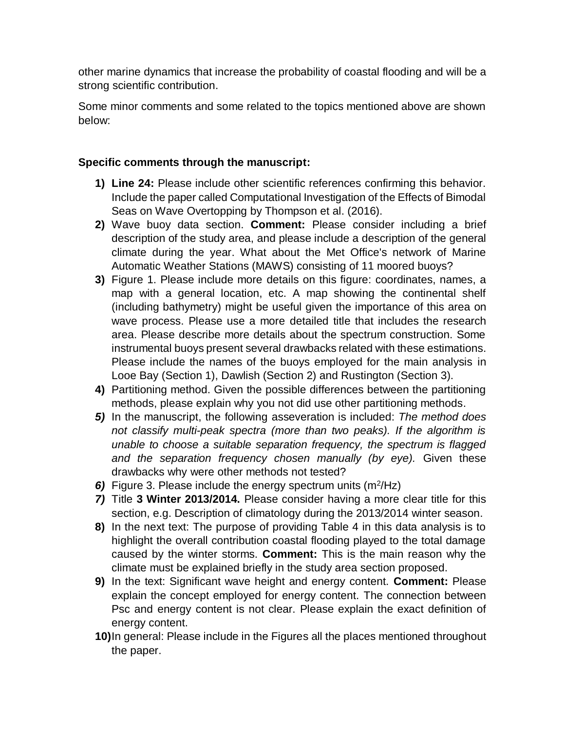other marine dynamics that increase the probability of coastal flooding and will be a strong scientific contribution.

Some minor comments and some related to the topics mentioned above are shown below:

## **Specific comments through the manuscript:**

- **1) Line 24:** Please include other scientific references confirming this behavior. Include the paper called Computational Investigation of the Effects of Bimodal Seas on Wave Overtopping by Thompson et al. (2016).
- **2)** Wave buoy data section. **Comment:** Please consider including a brief description of the study area, and please include a description of the general climate during the year. What about the Met Office's network of Marine Automatic Weather Stations (MAWS) consisting of 11 moored buoys?
- **3)** Figure 1. Please include more details on this figure: coordinates, names, a map with a general location, etc. A map showing the continental shelf (including bathymetry) might be useful given the importance of this area on wave process. Please use a more detailed title that includes the research area. Please describe more details about the spectrum construction. Some instrumental buoys present several drawbacks related with these estimations. Please include the names of the buoys employed for the main analysis in Looe Bay (Section 1), Dawlish (Section 2) and Rustington (Section 3).
- **4)** Partitioning method. Given the possible differences between the partitioning methods, please explain why you not did use other partitioning methods.
- *5)* In the manuscript, the following asseveration is included: *The method does not classify multi-peak spectra (more than two peaks). If the algorithm is unable to choose a suitable separation frequency, the spectrum is flagged and the separation frequency chosen manually (by eye).* Given these drawbacks why were other methods not tested?
- 6) Figure 3. Please include the energy spectrum units (m<sup>2</sup>/Hz)
- *7)* Title **3 Winter 2013/2014.** Please consider having a more clear title for this section, e.g. Description of climatology during the 2013/2014 winter season.
- **8)** In the next text: The purpose of providing Table 4 in this data analysis is to highlight the overall contribution coastal flooding played to the total damage caused by the winter storms. **Comment:** This is the main reason why the climate must be explained briefly in the study area section proposed.
- **9)** In the text: Significant wave height and energy content. **Comment:** Please explain the concept employed for energy content. The connection between Psc and energy content is not clear. Please explain the exact definition of energy content.
- **10)**In general: Please include in the Figures all the places mentioned throughout the paper.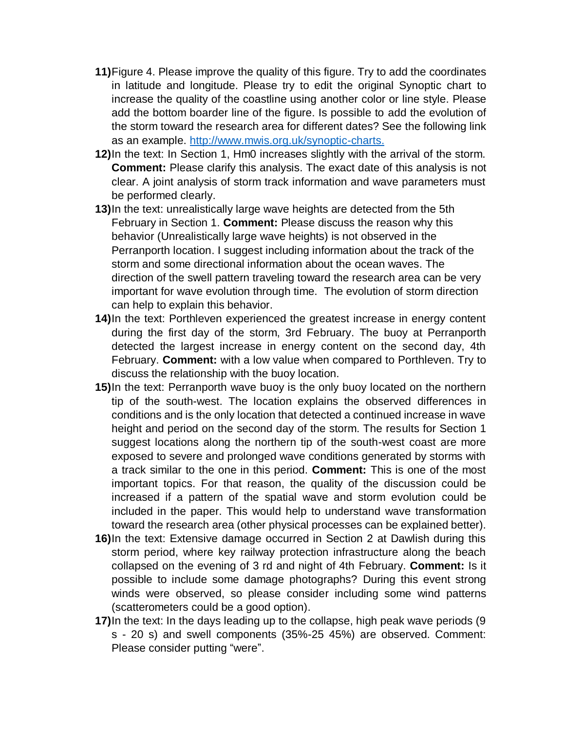- **11)**Figure 4. Please improve the quality of this figure. Try to add the coordinates in latitude and longitude. Please try to edit the original Synoptic chart to increase the quality of the coastline using another color or line style. Please add the bottom boarder line of the figure. Is possible to add the evolution of the storm toward the research area for different dates? See the following link as an example. [http://www.mwis.org.uk/synoptic-charts.](http://www.mwis.org.uk/synoptic-charts)
- **12)**In the text: In Section 1, Hm0 increases slightly with the arrival of the storm. **Comment:** Please clarify this analysis. The exact date of this analysis is not clear. A joint analysis of storm track information and wave parameters must be performed clearly.
- **13)**In the text: unrealistically large wave heights are detected from the 5th February in Section 1. **Comment:** Please discuss the reason why this behavior (Unrealistically large wave heights) is not observed in the Perranporth location. I suggest including information about the track of the storm and some directional information about the ocean waves. The direction of the swell pattern traveling toward the research area can be very important for wave evolution through time. The evolution of storm direction can help to explain this behavior.
- **14)**In the text: Porthleven experienced the greatest increase in energy content during the first day of the storm, 3rd February. The buoy at Perranporth detected the largest increase in energy content on the second day, 4th February. **Comment:** with a low value when compared to Porthleven. Try to discuss the relationship with the buoy location.
- **15)**In the text: Perranporth wave buoy is the only buoy located on the northern tip of the south-west. The location explains the observed differences in conditions and is the only location that detected a continued increase in wave height and period on the second day of the storm. The results for Section 1 suggest locations along the northern tip of the south-west coast are more exposed to severe and prolonged wave conditions generated by storms with a track similar to the one in this period. **Comment:** This is one of the most important topics. For that reason, the quality of the discussion could be increased if a pattern of the spatial wave and storm evolution could be included in the paper. This would help to understand wave transformation toward the research area (other physical processes can be explained better).
- **16)**In the text: Extensive damage occurred in Section 2 at Dawlish during this storm period, where key railway protection infrastructure along the beach collapsed on the evening of 3 rd and night of 4th February. **Comment:** Is it possible to include some damage photographs? During this event strong winds were observed, so please consider including some wind patterns (scatterometers could be a good option).
- **17)**In the text: In the days leading up to the collapse, high peak wave periods (9 s - 20 s) and swell components (35%-25 45%) are observed. Comment: Please consider putting "were".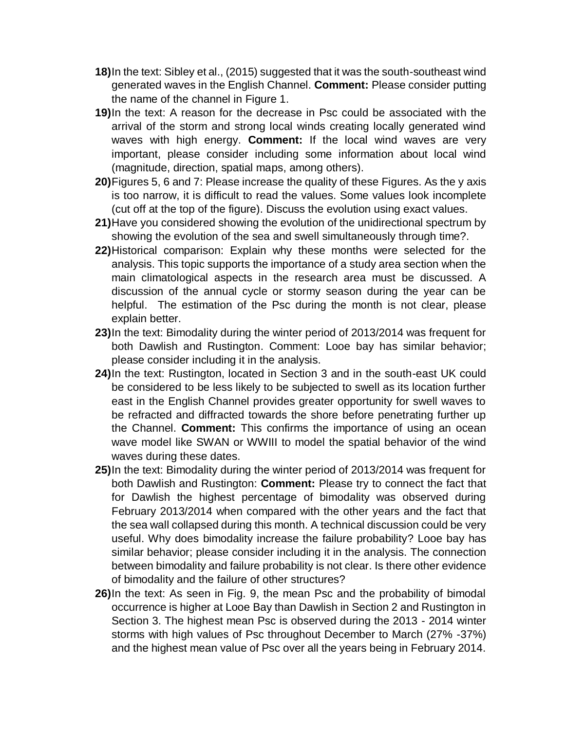- **18)**In the text: Sibley et al., (2015) suggested that it was the south-southeast wind generated waves in the English Channel. **Comment:** Please consider putting the name of the channel in Figure 1.
- **19)**In the text: A reason for the decrease in Psc could be associated with the arrival of the storm and strong local winds creating locally generated wind waves with high energy. **Comment:** If the local wind waves are very important, please consider including some information about local wind (magnitude, direction, spatial maps, among others).
- **20)**Figures 5, 6 and 7: Please increase the quality of these Figures. As the y axis is too narrow, it is difficult to read the values. Some values look incomplete (cut off at the top of the figure). Discuss the evolution using exact values.
- **21)**Have you considered showing the evolution of the unidirectional spectrum by showing the evolution of the sea and swell simultaneously through time?.
- **22)**Historical comparison: Explain why these months were selected for the analysis. This topic supports the importance of a study area section when the main climatological aspects in the research area must be discussed. A discussion of the annual cycle or stormy season during the year can be helpful. The estimation of the Psc during the month is not clear, please explain better.
- **23)**In the text: Bimodality during the winter period of 2013/2014 was frequent for both Dawlish and Rustington. Comment: Looe bay has similar behavior; please consider including it in the analysis.
- **24)**In the text: Rustington, located in Section 3 and in the south-east UK could be considered to be less likely to be subjected to swell as its location further east in the English Channel provides greater opportunity for swell waves to be refracted and diffracted towards the shore before penetrating further up the Channel. **Comment:** This confirms the importance of using an ocean wave model like SWAN or WWIII to model the spatial behavior of the wind waves during these dates.
- **25)**In the text: Bimodality during the winter period of 2013/2014 was frequent for both Dawlish and Rustington: **Comment:** Please try to connect the fact that for Dawlish the highest percentage of bimodality was observed during February 2013/2014 when compared with the other years and the fact that the sea wall collapsed during this month. A technical discussion could be very useful. Why does bimodality increase the failure probability? Looe bay has similar behavior; please consider including it in the analysis. The connection between bimodality and failure probability is not clear. Is there other evidence of bimodality and the failure of other structures?
- **26)**In the text: As seen in Fig. 9, the mean Psc and the probability of bimodal occurrence is higher at Looe Bay than Dawlish in Section 2 and Rustington in Section 3. The highest mean Psc is observed during the 2013 - 2014 winter storms with high values of Psc throughout December to March (27% -37%) and the highest mean value of Psc over all the years being in February 2014.